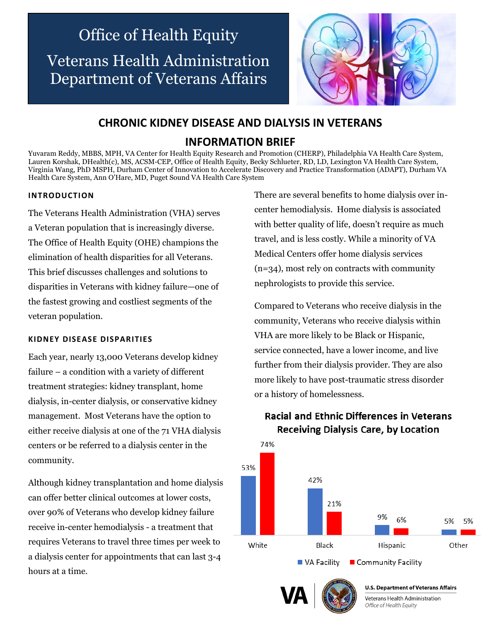# Office of Health Equity Veterans Health Administration Department of Veterans Affairs



## **CHRONIC KIDNEY DISEASE AND DIALYSIS IN VETERANS**

## **INFORMATION BRIEF**

Yuvaram Reddy, MBBS, MPH, VA Center for Health Equity Research and Promotion (CHERP), Philadelphia VA Health Care System, Lauren Korshak, DHealth(c), MS, ACSM-CEP, Office of Health Equity, Becky Schlueter, RD, LD, Lexington VA Health Care System, Virginia Wang, PhD MSPH, Durham Center of Innovation to Accelerate Discovery and Practice Transformation (ADAPT), Durham VA Health Care System, Ann O'Hare, MD, Puget Sound VA Health Care System

### **INTRODUCTION**

The Veterans Health Administration (VHA) serves a Veteran population that is increasingly diverse. The Office of Health Equity (OHE) champions the elimination of health disparities for all Veterans. This brief discusses challenges and solutions to disparities in Veterans with kidney failure—one of the fastest growing and costliest segments of the veteran population.

#### **KIDNEY DISEASE DISPARITIES**

Each year, nearly 13,000 Veterans develop kidney failure – a condition with a variety of different treatment strategies: kidney transplant, home dialysis, in-center dialysis, or conservative kidney management. Most Veterans have the option to either receive dialysis at one of the 71 VHA dialysis centers or be referred to a dialysis center in the community.

Although kidney transplantation and home dialysis can offer better clinical outcomes at lower costs, over 90% of Veterans who develop kidney failure receive in-center hemodialysis - a treatment that requires Veterans to travel three times per week to a dialysis center for appointments that can last 3-4 hours at a time.

There are several benefits to home dialysis over incenter hemodialysis. Home dialysis is associated with better quality of life, doesn't require as much travel, and is less costly. While a minority of VA Medical Centers offer home dialysis services (n=34), most rely on contracts with community nephrologists to provide this service.

Compared to Veterans who receive dialysis in the community, Veterans who receive dialysis within VHA are more likely to be Black or Hispanic, service connected, have a lower income, and live further from their dialysis provider. They are also more likely to have post-traumatic stress disorder or a history of homelessness.



## **Racial and Ethnic Differences in Veterans Receiving Dialysis Care, by Location**





Veterans Health Administration Office of Health Equity